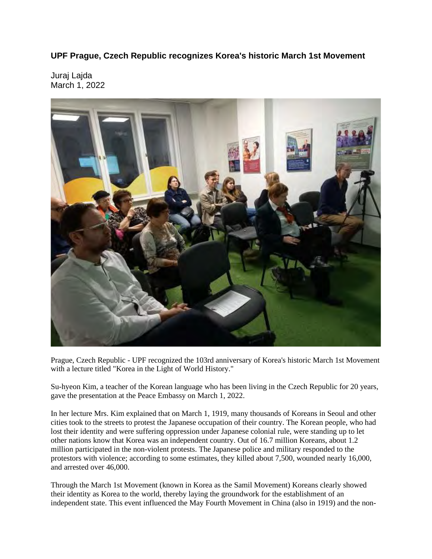**UPF Prague, Czech Republic recognizes Korea's historic March 1st Movement**

Juraj Lajda March 1, 2022



Prague, Czech Republic - UPF recognized the 103rd anniversary of Korea's historic March 1st Movement with a lecture titled "Korea in the Light of World History."

Su-hyeon Kim, a teacher of the Korean language who has been living in the Czech Republic for 20 years, gave the presentation at the Peace Embassy on March 1, 2022.

In her lecture Mrs. Kim explained that on March 1, 1919, many thousands of Koreans in Seoul and other cities took to the streets to protest the Japanese occupation of their country. The Korean people, who had lost their identity and were suffering oppression under Japanese colonial rule, were standing up to let other nations know that Korea was an independent country. Out of 16.7 million Koreans, about 1.2 million participated in the non-violent protests. The Japanese police and military responded to the protestors with violence; according to some estimates, they killed about 7,500, wounded nearly 16,000, and arrested over 46,000.

Through the March 1st Movement (known in Korea as the Samil Movement) Koreans clearly showed their identity as Korea to the world, thereby laying the groundwork for the establishment of an independent state. This event influenced the May Fourth Movement in China (also in 1919) and the non